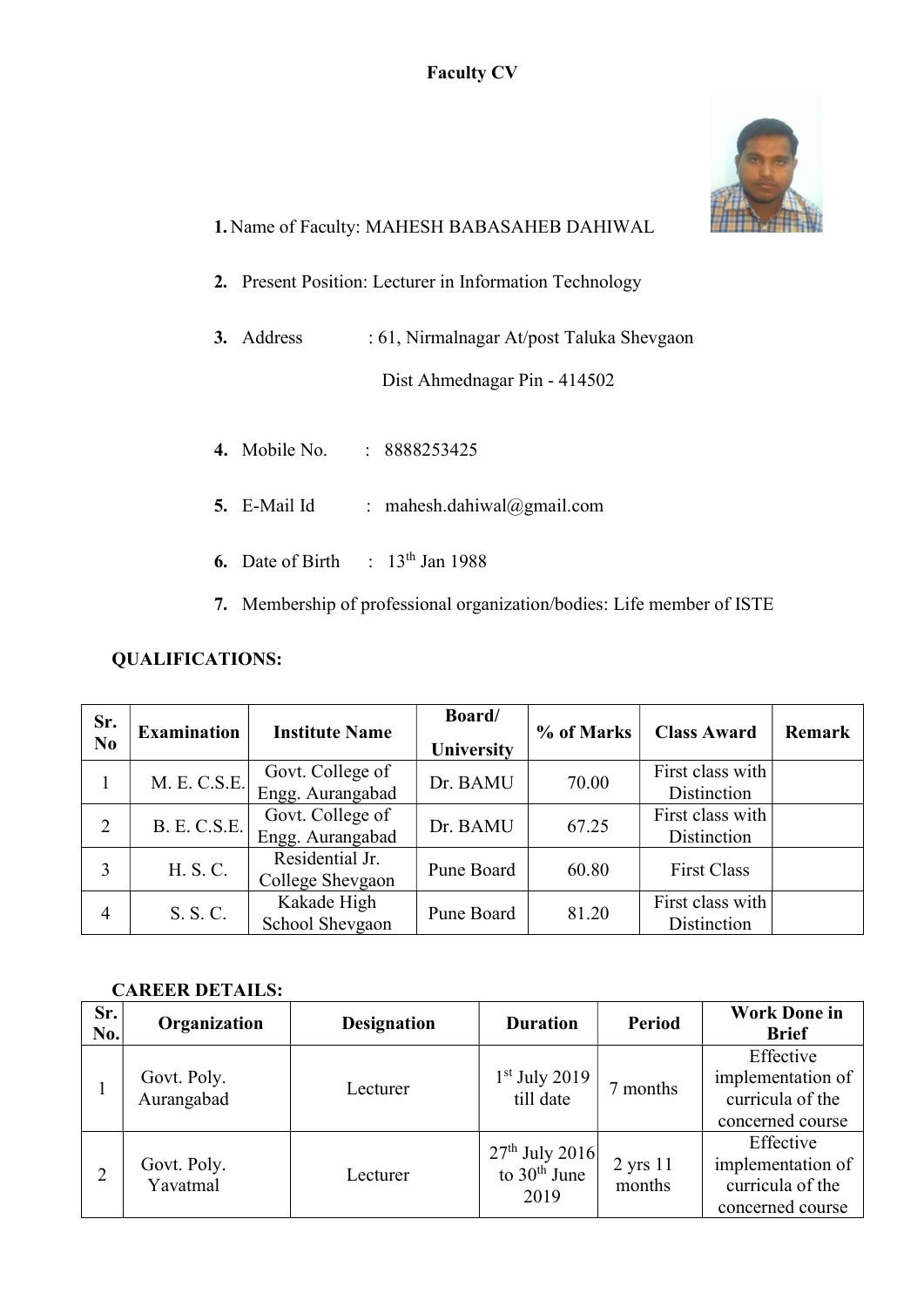## Faculty CV



# 1. Name of Faculty: MAHESH BABASAHEB DAHIWAL

- 2. Present Position: Lecturer in Information Technology
- 3. Address : 61, Nirmalnagar At/post Taluka Shevgaon

Dist Ahmednagar Pin - 414502

- 4. Mobile No. : 8888253425
- 5. E-Mail Id : mahesh.dahiwal@gmail.com
- 6. Date of Birth :  $13<sup>th</sup>$  Jan 1988
- 7. Membership of professional organization/bodies: Life member of ISTE

## QUALIFICATIONS:

| Sr.<br>N <sub>0</sub> | <b>Examination</b>  | <b>Institute Name</b>                | Board/<br><b>University</b> | % of Marks | <b>Class Award</b>              | Remark |
|-----------------------|---------------------|--------------------------------------|-----------------------------|------------|---------------------------------|--------|
|                       | M. E. C.S.E.        | Govt. College of<br>Engg. Aurangabad | Dr. BAMU                    | 70.00      | First class with<br>Distinction |        |
| $\overline{2}$        | <b>B. E. C.S.E.</b> | Govt. College of<br>Engg. Aurangabad | Dr. BAMU                    | 67.25      | First class with<br>Distinction |        |
| 3                     | H. S. C.            | Residential Jr.<br>College Shevgaon  | Pune Board                  | 60.80      | <b>First Class</b>              |        |
| $\overline{4}$        | S. S. C.            | Kakade High<br>School Shevgaon       | Pune Board                  | 81.20      | First class with<br>Distinction |        |

#### CAREER DETAILS:

| Sr.<br>No.     | Organization              | <b>Designation</b> | <b>Duration</b>                            | <b>Period</b>                 | <b>Work Done in</b><br><b>Brief</b>                                    |
|----------------|---------------------------|--------------------|--------------------------------------------|-------------------------------|------------------------------------------------------------------------|
|                | Govt. Poly.<br>Aurangabad | Lecturer           | $1st$ July 2019<br>till date               | months                        | Effective<br>implementation of<br>curricula of the<br>concerned course |
| $\overline{2}$ | Govt. Poly.<br>Yavatmal   | Lecturer           | $27th$ July 2016<br>to $30th$ June<br>2019 | $2 \text{ yrs } 11$<br>months | Effective<br>implementation of<br>curricula of the<br>concerned course |